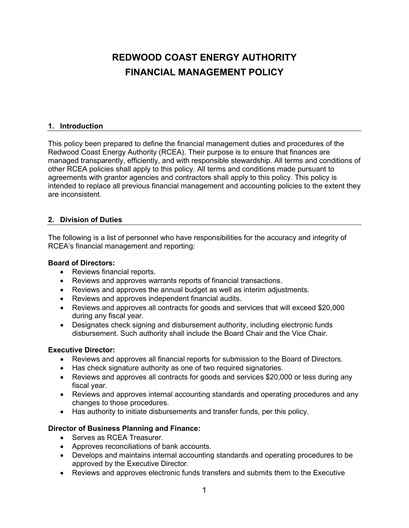# **REDWOOD COAST ENERGY AUTHORITY FINANCIAL MANAGEMENT POLICY**

## **1. Introduction**

This policy been prepared to define the financial management duties and procedures of the Redwood Coast Energy Authority (RCEA). Their purpose is to ensure that finances are managed transparently, efficiently, and with responsible stewardship. All terms and conditions of other RCEA policies shall apply to this policy. All terms and conditions made pursuant to agreements with grantor agencies and contractors shall apply to this policy. This policy is intended to replace all previous financial management and accounting policies to the extent they are inconsistent.

## **2. Division of Duties**

The following is a list of personnel who have responsibilities for the accuracy and integrity of RCEA's financial management and reporting:

#### **Board of Directors:**

- Reviews financial reports.
- Reviews and approves warrants reports of financial transactions.
- Reviews and approves the annual budget as well as interim adjustments.
- Reviews and approves independent financial audits.
- Reviews and approves all contracts for goods and services that will exceed \$20,000 during any fiscal year.
- Designates check signing and disbursement authority, including electronic funds disbursement. Such authority shall include the Board Chair and the Vice Chair.

#### **Executive Director:**

- Reviews and approves all financial reports for submission to the Board of Directors.
- Has check signature authority as one of two required signatories.
- Reviews and approves all contracts for goods and services \$20,000 or less during any fiscal year.
- Reviews and approves internal accounting standards and operating procedures and any changes to those procedures.
- Has authority to initiate disbursements and transfer funds, per this policy.

#### **Director of Business Planning and Finance:**

- Serves as RCEA Treasurer.
- Approves reconciliations of bank accounts.
- Develops and maintains internal accounting standards and operating procedures to be approved by the Executive Director.
- Reviews and approves electronic funds transfers and submits them to the Executive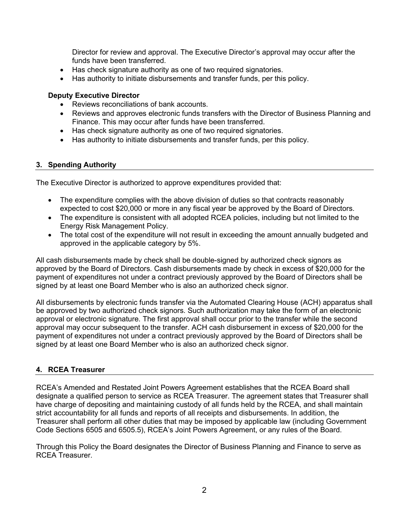Director for review and approval. The Executive Director's approval may occur after the funds have been transferred.

- Has check signature authority as one of two required signatories.
- Has authority to initiate disbursements and transfer funds, per this policy.

#### **Deputy Executive Director**

- Reviews reconciliations of bank accounts.
- Reviews and approves electronic funds transfers with the Director of Business Planning and Finance. This may occur after funds have been transferred.
- Has check signature authority as one of two required signatories.
- Has authority to initiate disbursements and transfer funds, per this policy.

#### **3. Spending Authority**

The Executive Director is authorized to approve expenditures provided that:

- The expenditure complies with the above division of duties so that contracts reasonably expected to cost \$20,000 or more in any fiscal year be approved by the Board of Directors.
- The expenditure is consistent with all adopted RCEA policies, including but not limited to the Energy Risk Management Policy.
- The total cost of the expenditure will not result in exceeding the amount annually budgeted and approved in the applicable category by 5%.

All cash disbursements made by check shall be double-signed by authorized check signors as approved by the Board of Directors. Cash disbursements made by check in excess of \$20,000 for the payment of expenditures not under a contract previously approved by the Board of Directors shall be signed by at least one Board Member who is also an authorized check signor.

All disbursements by electronic funds transfer via the Automated Clearing House (ACH) apparatus shall be approved by two authorized check signors. Such authorization may take the form of an electronic approval or electronic signature. The first approval shall occur prior to the transfer while the second approval may occur subsequent to the transfer. ACH cash disbursement in excess of \$20,000 for the payment of expenditures not under a contract previously approved by the Board of Directors shall be signed by at least one Board Member who is also an authorized check signor.

## **4. RCEA Treasurer**

RCEA's Amended and Restated Joint Powers Agreement establishes that the RCEA Board shall designate a qualified person to service as RCEA Treasurer. The agreement states that Treasurer shall have charge of depositing and maintaining custody of all funds held by the RCEA, and shall maintain strict accountability for all funds and reports of all receipts and disbursements. In addition, the Treasurer shall perform all other duties that may be imposed by applicable law (including Government Code Sections 6505 and 6505.5), RCEA's Joint Powers Agreement, or any rules of the Board.

Through this Policy the Board designates the Director of Business Planning and Finance to serve as RCEA Treasurer.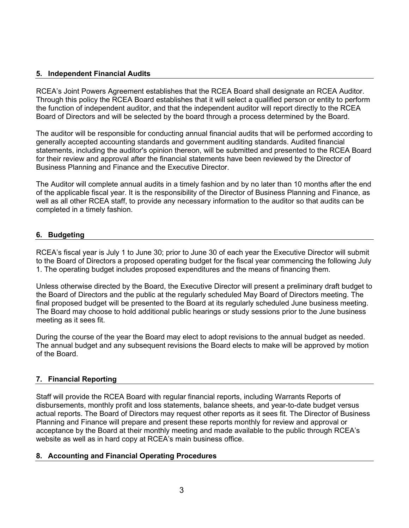# **5. Independent Financial Audits**

RCEA's Joint Powers Agreement establishes that the RCEA Board shall designate an RCEA Auditor. Through this policy the RCEA Board establishes that it will select a qualified person or entity to perform the function of independent auditor, and that the independent auditor will report directly to the RCEA Board of Directors and will be selected by the board through a process determined by the Board.

The auditor will be responsible for conducting annual financial audits that will be performed according to generally accepted accounting standards and government auditing standards. Audited financial statements, including the auditor's opinion thereon, will be submitted and presented to the RCEA Board for their review and approval after the financial statements have been reviewed by the Director of Business Planning and Finance and the Executive Director.

The Auditor will complete annual audits in a timely fashion and by no later than 10 months after the end of the applicable fiscal year. It is the responsibility of the Director of Business Planning and Finance, as well as all other RCEA staff, to provide any necessary information to the auditor so that audits can be completed in a timely fashion.

# **6. Budgeting**

RCEA's fiscal year is July 1 to June 30; prior to June 30 of each year the Executive Director will submit to the Board of Directors a proposed operating budget for the fiscal year commencing the following July 1. The operating budget includes proposed expenditures and the means of financing them.

Unless otherwise directed by the Board, the Executive Director will present a preliminary draft budget to the Board of Directors and the public at the regularly scheduled May Board of Directors meeting. The final proposed budget will be presented to the Board at its regularly scheduled June business meeting. The Board may choose to hold additional public hearings or study sessions prior to the June business meeting as it sees fit.

During the course of the year the Board may elect to adopt revisions to the annual budget as needed. The annual budget and any subsequent revisions the Board elects to make will be approved by motion of the Board.

## **7. Financial Reporting**

Staff will provide the RCEA Board with regular financial reports, including Warrants Reports of disbursements, monthly profit and loss statements, balance sheets, and year-to-date budget versus actual reports. The Board of Directors may request other reports as it sees fit. The Director of Business Planning and Finance will prepare and present these reports monthly for review and approval or acceptance by the Board at their monthly meeting and made available to the public through RCEA's website as well as in hard copy at RCEA's main business office.

## **8. Accounting and Financial Operating Procedures**